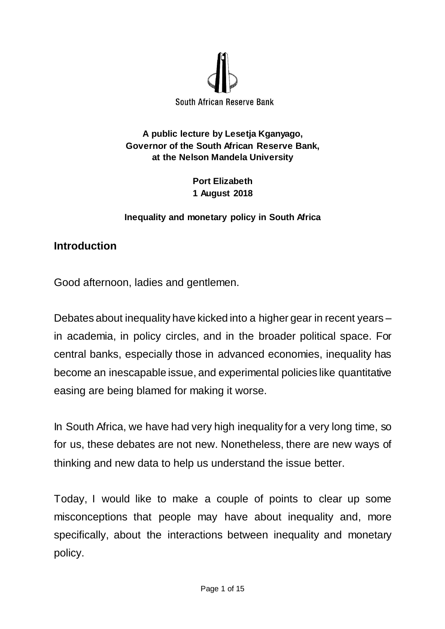

**A public lecture by Lesetja Kganyago, Governor of the South African Reserve Bank, at the Nelson Mandela University**

> **Port Elizabeth 1 August 2018**

#### **Inequality and monetary policy in South Africa**

#### **Introduction**

Good afternoon, ladies and gentlemen.

Debates about inequality have kicked into a higher gear in recent years – in academia, in policy circles, and in the broader political space. For central banks, especially those in advanced economies, inequality has become an inescapable issue, and experimental policies like quantitative easing are being blamed for making it worse.

In South Africa, we have had very high inequality for a very long time, so for us, these debates are not new. Nonetheless, there are new ways of thinking and new data to help us understand the issue better.

Today, I would like to make a couple of points to clear up some misconceptions that people may have about inequality and, more specifically, about the interactions between inequality and monetary policy.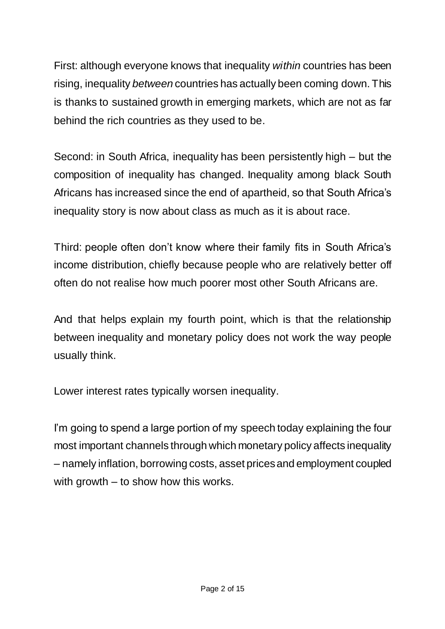First: although everyone knows that inequality *within* countries has been rising, inequality *between* countries has actually been coming down. This is thanks to sustained growth in emerging markets, which are not as far behind the rich countries as they used to be.

Second: in South Africa, inequality has been persistently high – but the composition of inequality has changed. Inequality among black South Africans has increased since the end of apartheid, so that South Africa's inequality story is now about class as much as it is about race.

Third: people often don't know where their family fits in South Africa's income distribution, chiefly because people who are relatively better off often do not realise how much poorer most other South Africans are.

And that helps explain my fourth point, which is that the relationship between inequality and monetary policy does not work the way people usually think.

Lower interest rates typically worsen inequality.

I'm going to spend a large portion of my speech today explaining the four most important channels through which monetary policy affects inequality – namely inflation, borrowing costs, asset pricesand employment coupled with growth – to show how this works.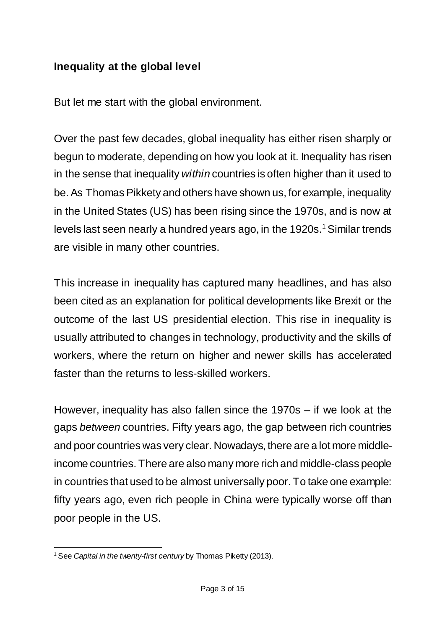# **Inequality at the global level**

But let me start with the global environment.

Over the past few decades, global inequality has either risen sharply or begun to moderate, depending on how you look at it. Inequality has risen in the sense that inequality *within* countries is often higher than it used to be. As Thomas Pikkety and others have shown us, for example, inequality in the United States (US) has been rising since the 1970s, and is now at levels last seen nearly a hundred years ago, in the 1920s.<sup>1</sup> Similar trends are visible in many other countries.

This increase in inequality has captured many headlines, and has also been cited as an explanation for political developments like Brexit or the outcome of the last US presidential election. This rise in inequality is usually attributed to changes in technology, productivity and the skills of workers, where the return on higher and newer skills has accelerated faster than the returns to less-skilled workers.

However, inequality has also fallen since the 1970s – if we look at the gaps *between* countries. Fifty years ago, the gap between rich countries and poor countries was very clear. Nowadays, there are a lot more middleincome countries. There are also many more rich and middle-class people in countries that used to be almost universally poor. To take one example: fifty years ago, even rich people in China were typically worse off than poor people in the US.

 $\overline{a}$ <sup>1</sup> See *Capital in the twenty-first century* by Thomas Piketty (2013).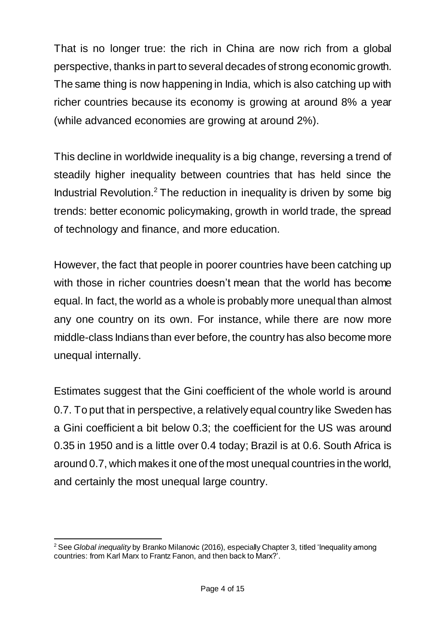That is no longer true: the rich in China are now rich from a global perspective, thanks in part to several decades of strong economic growth. The same thing is now happening in India, which is also catching up with richer countries because its economy is growing at around 8% a year (while advanced economies are growing at around 2%).

This decline in worldwide inequality is a big change, reversing a trend of steadily higher inequality between countries that has held since the Industrial Revolution.<sup>2</sup> The reduction in inequality is driven by some big trends: better economic policymaking, growth in world trade, the spread of technology and finance, and more education.

However, the fact that people in poorer countries have been catching up with those in richer countries doesn't mean that the world has become equal. In fact, the world as a whole is probably more unequal than almost any one country on its own. For instance, while there are now more middle-class Indians than ever before, the country has also become more unequal internally.

Estimates suggest that the Gini coefficient of the whole world is around 0.7. To put that in perspective, a relatively equal country like Sweden has a Gini coefficient a bit below 0.3; the coefficient for the US was around 0.35 in 1950 and is a little over 0.4 today; Brazil is at 0.6. South Africa is around 0.7, which makes it one of the most unequal countries in the world, and certainly the most unequal large country.

 $\overline{a}$ <sup>2</sup> See *Global inequality* by Branko Milanovic (2016), especially Chapter 3, titled 'Inequality among countries: from Karl Marx to Frantz Fanon, and then back to Marx?'.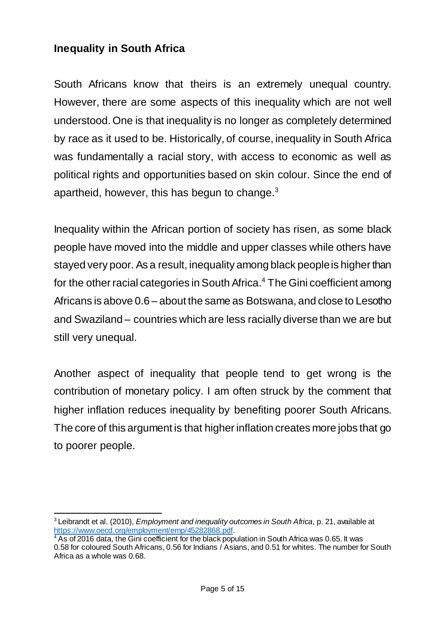## **Inequality in South Africa**

South Africans know that theirs is an extremely unequal country. However, there are some aspects of this inequality which are not well understood. One is that inequality is no longer as completely determined by race as it used to be. Historically, of course, inequality in South Africa was fundamentally a racial story, with access to economic as well as political rights and opportunities based on skin colour. Since the end of apartheid, however, this has begun to change. $^3$ 

Inequality within the African portion of society has risen, as some black people have moved into the middle and upper classes while others have stayed very poor. As a result, inequality among black people is higher than for the other racial categories in South Africa. <sup>4</sup> The Gini coefficient among Africans is above 0.6 – about the same as Botswana, and close to Lesotho and Swaziland – countries which are less racially diverse than we are but still very unequal.

Another aspect of inequality that people tend to get wrong is the contribution of monetary policy. I am often struck by the comment that higher inflation reduces inequality by benefiting poorer South Africans. The core of this argument is that higher inflation creates more jobs that go to poorer people.

 $\overline{a}$ <sup>3</sup> Leibrandt et al. (2010), *Employment and inequality outcomes in South Africa*, p. 21, available at <https://www.oecd.org/employment/emp/45282868.pdf>.

<sup>&</sup>lt;sup>4</sup> As of 2016 data, the Gini coefficient for the black population in South Africa was 0.65. It was 0.58 for coloured South Africans, 0.56 for Indians / Asians, and 0.51 for whites. The number for South Africa as a whole was 0.68.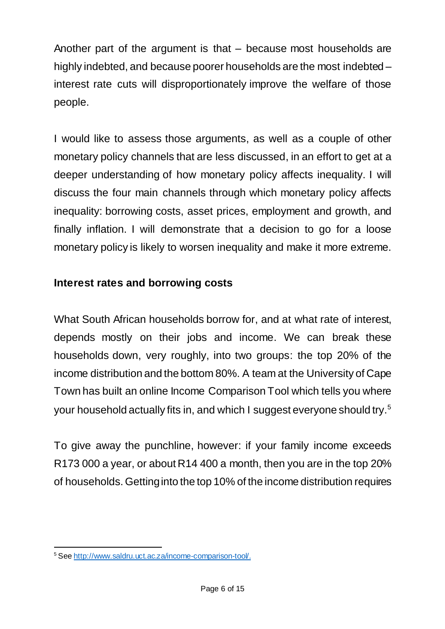Another part of the argument is that – because most households are highly indebted, and because poorer households are the most indebted – interest rate cuts will disproportionately improve the welfare of those people.

I would like to assess those arguments, as well as a couple of other monetary policy channels that are less discussed, in an effort to get at a deeper understanding of how monetary policy affects inequality. I will discuss the four main channels through which monetary policy affects inequality: borrowing costs, asset prices, employment and growth, and finally inflation. I will demonstrate that a decision to go for a loose monetary policy is likely to worsen inequality and make it more extreme.

## **Interest rates and borrowing costs**

What South African households borrow for, and at what rate of interest, depends mostly on their jobs and income. We can break these households down, very roughly, into two groups: the top 20% of the income distribution and the bottom 80%. A team at the University of Cape Town has built an online Income Comparison Tool which tells you where your household actually fits in, and which I suggest everyone should try.<sup>5</sup>

To give away the punchline, however: if your family income exceeds R173 000 a year, or about R14 400 a month, then you are in the top 20% of households. Getting into the top 10% of the income distribution requires

 $\overline{a}$ <sup>5</sup> See<http://www.saldru.uct.ac.za/income-comparison-tool/>.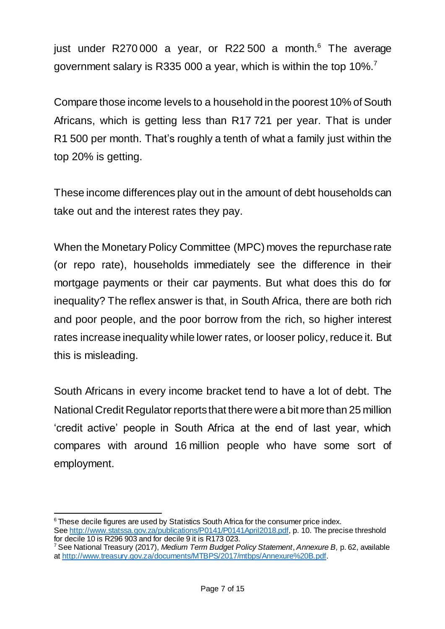just under R270000 a year, or R22 500 a month.<sup>6</sup> The average government salary is R335 000 a year, which is within the top 10%.<sup>7</sup>

Compare those income levels to a household in the poorest 10% of South Africans, which is getting less than R17 721 per year. That is under R1 500 per month. That's roughly a tenth of what a family just within the top 20% is getting.

These income differences play out in the amount of debt households can take out and the interest rates they pay.

When the Monetary Policy Committee (MPC) moves the repurchase rate (or repo rate), households immediately see the difference in their mortgage payments or their car payments. But what does this do for inequality? The reflex answer is that, in South Africa, there are both rich and poor people, and the poor borrow from the rich, so higher interest rates increase inequality while lower rates, or looser policy, reduce it. But this is misleading.

South Africans in every income bracket tend to have a lot of debt. The National Credit Regulator reports that there were a bit more than 25 million 'credit active' people in South Africa at the end of last year, which compares with around 16 million people who have some sort of employment.

 $\overline{a}$ <sup>6</sup> These decile figures are used by Statistics South Africa for the consumer price index. See <http://www.statssa.gov.za/publications/P0141/P0141April2018.pdf>, p. 10. The precise threshold for decile 10 is R296 903 and for decile 9 it is R173 023.

<sup>7</sup> See National Treasury (2017), *Medium Term Budget Policy Statement*, *Annexure B,* p. 62, available at <http://www.treasury.gov.za/documents/MTBPS/2017/mtbps/Annexure%20B.pdf>.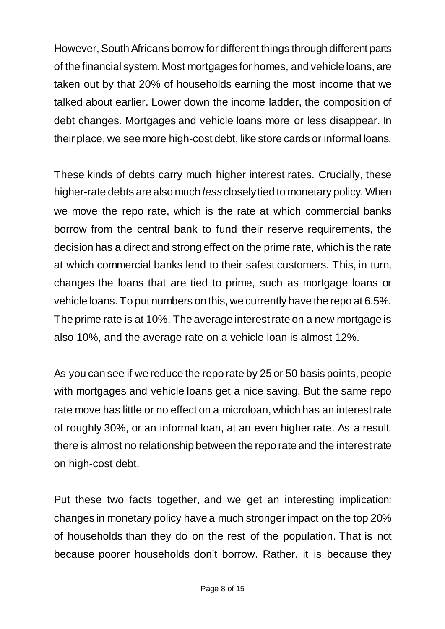However, South Africans borrow for different things through different parts of the financial system. Most mortgages for homes, and vehicle loans, are taken out by that 20% of households earning the most income that we talked about earlier. Lower down the income ladder, the composition of debt changes. Mortgages and vehicle loans more or less disappear. In their place, we see more high-cost debt, like store cards or informal loans.

These kinds of debts carry much higher interest rates. Crucially, these higher-rate debts are also much *less*closely tied to monetary policy. When we move the repo rate, which is the rate at which commercial banks borrow from the central bank to fund their reserve requirements, the decision has a direct and strong effect on the prime rate, which is the rate at which commercial banks lend to their safest customers. This, in turn, changes the loans that are tied to prime, such as mortgage loans or vehicle loans. To put numbers on this, we currently have the repo at 6.5%. The prime rate is at 10%. The average interest rate on a new mortgage is also 10%, and the average rate on a vehicle loan is almost 12%.

As you can see if we reduce the repo rate by 25 or 50 basis points, people with mortgages and vehicle loans get a nice saving. But the same repo rate move has little or no effect on a microloan, which has an interest rate of roughly 30%, or an informal loan, at an even higher rate. As a result, there is almost no relationship between the repo rate and the interest rate on high-cost debt.

Put these two facts together, and we get an interesting implication: changes in monetary policy have a much stronger impact on the top 20% of households than they do on the rest of the population. That is not because poorer households don't borrow. Rather, it is because they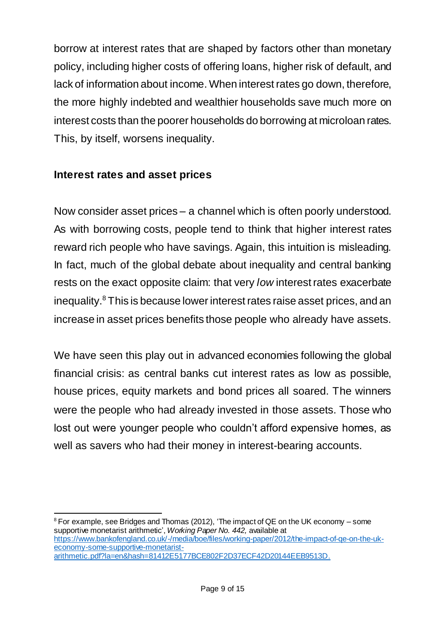borrow at interest rates that are shaped by factors other than monetary policy, including higher costs of offering loans, higher risk of default, and lack of information about income. When interest rates go down, therefore, the more highly indebted and wealthier households save much more on interest costs than the poorer households do borrowing at microloan rates. This, by itself, worsens inequality.

#### **Interest rates and asset prices**

Now consider asset prices – a channel which is often poorly understood. As with borrowing costs, people tend to think that higher interest rates reward rich people who have savings. Again, this intuition is misleading. In fact, much of the global debate about inequality and central banking rests on the exact opposite claim: that very *low* interest rates exacerbate inequality.<sup>8</sup> This is because lower interest rates raise asset prices, and an increase in asset prices benefits those people who already have assets.

We have seen this play out in advanced economies following the global financial crisis: as central banks cut interest rates as low as possible, house prices, equity markets and bond prices all soared. The winners were the people who had already invested in those assets. Those who lost out were younger people who couldn't afford expensive homes, as well as savers who had their money in interest-bearing accounts.

 $\overline{a}$  $8$  For example, see Bridges and Thomas (2012), 'The impact of QE on the UK economy – some supportive monetarist arithmetic', *Working Paper No. 442,* available at [https://www.bankofengland.co.uk/-/media/boe/files/working-paper/2012/the-impact-of-qe-on-the-uk](https://www.bankofengland.co.uk/-/media/boe/files/working-paper/2012/the-impact-of-qe-on-the-uk-economy-some-supportive-monetarist-arithmetic.pdf?la=en&hash=81412E5177BCE802F2D37ECF42D20144EEB9513D)[economy-some-supportive-monetarist](https://www.bankofengland.co.uk/-/media/boe/files/working-paper/2012/the-impact-of-qe-on-the-uk-economy-some-supportive-monetarist-arithmetic.pdf?la=en&hash=81412E5177BCE802F2D37ECF42D20144EEB9513D)[arithmetic.pdf?la=en&hash=81412E5177BCE802F2D37ECF42D20144EEB9513D](https://www.bankofengland.co.uk/-/media/boe/files/working-paper/2012/the-impact-of-qe-on-the-uk-economy-some-supportive-monetarist-arithmetic.pdf?la=en&hash=81412E5177BCE802F2D37ECF42D20144EEB9513D).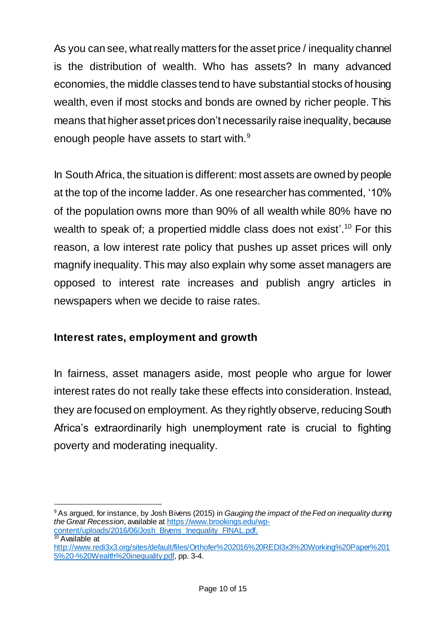As you can see, what really matters for the asset price / inequality channel is the distribution of wealth. Who has assets? In many advanced economies, the middle classes tend to have substantial stocks of housing wealth, even if most stocks and bonds are owned by richer people. This means that higher asset prices don't necessarily raise inequality, because enough people have assets to start with.<sup>9</sup>

In South Africa, the situation is different: most assets are owned by people at the top of the income ladder. As one researcher has commented, '10% of the population owns more than 90% of all wealth while 80% have no wealth to speak of; a propertied middle class does not exist'.<sup>10</sup> For this reason, a low interest rate policy that pushes up asset prices will only magnify inequality. This may also explain why some asset managers are opposed to interest rate increases and publish angry articles in newspapers when we decide to raise rates.

## **Interest rates, employment and growth**

In fairness, asset managers aside, most people who argue for lower interest rates do not really take these effects into consideration. Instead, they are focused on employment. As they rightly observe, reducing South Africa's extraordinarily high unemployment rate is crucial to fighting poverty and moderating inequality.

 $\overline{a}$ 

<sup>9</sup> As argued, for instance, by Josh Bivens (2015) in *Gauging the impact of the Fed on inequality during the Great Recession*, available at [https://www.brookings.edu/wp](https://www.brookings.edu/wp-content/uploads/2016/06/Josh_Bivens_Inequality_FINAL.pdf)[content/uploads/2016/06/Josh\\_Bivens\\_Inequality\\_FINAL.pdf](https://www.brookings.edu/wp-content/uploads/2016/06/Josh_Bivens_Inequality_FINAL.pdf).

<sup>&</sup>lt;sup>10</sup> Available at

[http://www.redi3x3.org/sites/default/files/Orthofer%202016%20REDI3x3%20Working%20Paper%201](http://www.redi3x3.org/sites/default/files/Orthofer%202016%20REDI3x3%20Working%20Paper%2015%20-%20Wealth%20inequality.pdf) [5%20-%20Wealth%20inequality.pdf](http://www.redi3x3.org/sites/default/files/Orthofer%202016%20REDI3x3%20Working%20Paper%2015%20-%20Wealth%20inequality.pdf), pp. 3-4.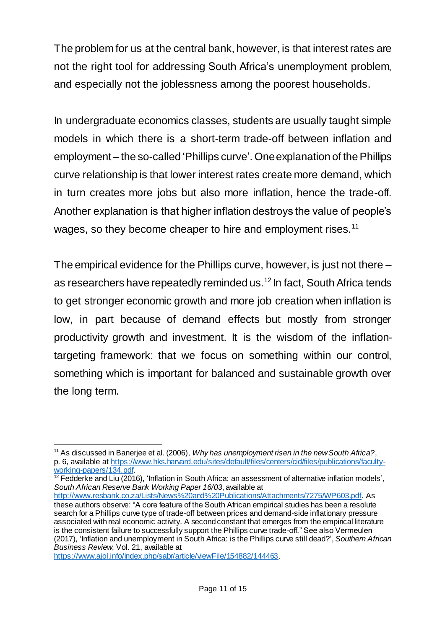The problem for us at the central bank, however, is that interest rates are not the right tool for addressing South Africa's unemployment problem, and especially not the joblessness among the poorest households.

In undergraduate economics classes, students are usually taught simple models in which there is a short-term trade-off between inflation and employment – the so-called 'Phillips curve'. One explanation of the Phillips curve relationship is that lower interest rates create more demand, which in turn creates more jobs but also more inflation, hence the trade-off. Another explanation is that higher inflation destroys the value of people's wages, so they become cheaper to hire and employment rises.<sup>11</sup>

The empirical evidence for the Phillips curve, however, is just not there – as researchers have repeatedly reminded us.<sup>12</sup> In fact, South Africa tends to get stronger economic growth and more job creation when inflation is low, in part because of demand effects but mostly from stronger productivity growth and investment. It is the wisdom of the inflationtargeting framework: that we focus on something within our control, something which is important for balanced and sustainable growth over the long term.

 $12$  Fedderke and Liu (2016), 'Inflation in South Africa: an assessment of alternative inflation models', *South African Reserve Bank Working Paper 16/03*, available at

<https://www.ajol.info/index.php/sabr/article/viewFile/154882/144463>.

 $\overline{a}$ <sup>11</sup> As discussed in Banerjee et al. (2006), *Why has unemployment risen in the new South Africa?*, p. 6, available at [https://www.hks.harvard.edu/sites/default/files/centers/cid/files/publications/faculty](https://www.hks.harvard.edu/sites/default/files/centers/cid/files/publications/faculty-working-papers/134.pdf)[working-papers/134.pdf.](https://www.hks.harvard.edu/sites/default/files/centers/cid/files/publications/faculty-working-papers/134.pdf)

<http://www.resbank.co.za/Lists/News%20and%20Publications/Attachments/7275/WP603.pdf>. As these authors observe: "A core feature of the South African empirical studies has been a resolute search for a Phillips curve type of trade-off between prices and demand-side inflationary pressure associated with real economic activity. A second constant that emerges from the empirical literature is the consistent failure to successfully support the Phillips curve trade-off." See also Vermeulen (2017), 'Inflation and unemployment in South Africa: is the Phillips curve still dead?', *Southern African Business Review*, Vol. 21, available at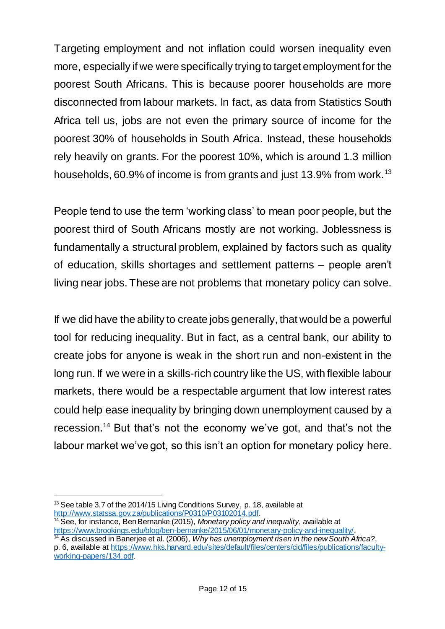Targeting employment and not inflation could worsen inequality even more, especially if we were specifically trying to target employment for the poorest South Africans. This is because poorer households are more disconnected from labour markets. In fact, as data from Statistics South Africa tell us, jobs are not even the primary source of income for the poorest 30% of households in South Africa. Instead, these households rely heavily on grants. For the poorest 10%, which is around 1.3 million households, 60.9% of income is from grants and just 13.9% from work.<sup>13</sup>

People tend to use the term 'working class' to mean poor people, but the poorest third of South Africans mostly are not working. Joblessness is fundamentally a structural problem, explained by factors such as quality of education, skills shortages and settlement patterns – people aren't living near jobs. These are not problems that monetary policy can solve.

If we did have the ability to create jobs generally, that would be a powerful tool for reducing inequality. But in fact, as a central bank, our ability to create jobs for anyone is weak in the short run and non-existent in the long run. If we were in a skills-rich country like the US, with flexible labour markets, there would be a respectable argument that low interest rates could help ease inequality by bringing down unemployment caused by a recession. <sup>14</sup> But that's not the economy we've got, and that's not the labour market we've got, so this isn't an option for monetary policy here.

<sup>1</sup> <sup>13</sup> See table 3.7 of the 2014/15 Living Conditions Survey, p. 18, available at <http://www.statssa.gov.za/publications/P0310/P03102014.pdf>.

<sup>14</sup> See, for instance, Ben Bernanke (2015), *Monetary policy and inequality*, available at <https://www.brookings.edu/blog/ben-bernanke/2015/06/01/monetary-policy-and-inequality/>. <sup>14</sup> As discussed in Banerjee et al. (2006), *Why has unemployment risen in the new South Africa?*,

p. 6, available at [https://www.hks.harvard.edu/sites/default/files/centers/cid/files/publications/faculty](https://www.hks.harvard.edu/sites/default/files/centers/cid/files/publications/faculty-working-papers/134.pdf)[working-papers/134.pdf.](https://www.hks.harvard.edu/sites/default/files/centers/cid/files/publications/faculty-working-papers/134.pdf)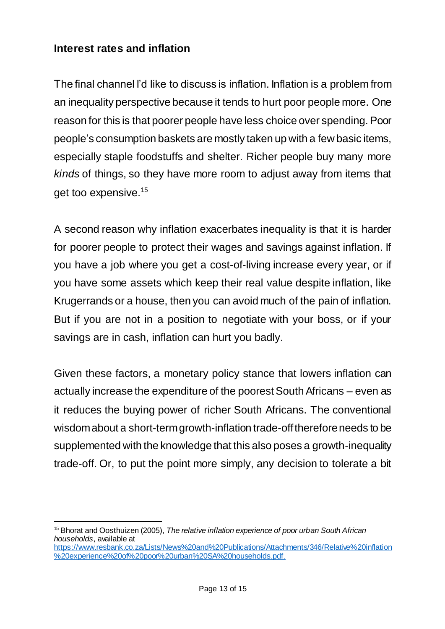### **Interest rates and inflation**

 $\overline{a}$ 

The final channel I'd like to discuss is inflation. Inflation is a problem from an inequality perspective because it tends to hurt poor people more. One reason for this is that poorer people have less choice over spending. Poor people's consumption baskets are mostly taken up with a few basic items, especially staple foodstuffs and shelter. Richer people buy many more *kinds* of things, so they have more room to adjust away from items that get too expensive.<sup>15</sup>

A second reason why inflation exacerbates inequality is that it is harder for poorer people to protect their wages and savings against inflation. If you have a job where you get a cost-of-living increase every year, or if you have some assets which keep their real value despite inflation, like Krugerrands or a house, then you can avoid much of the pain of inflation. But if you are not in a position to negotiate with your boss, or if your savings are in cash, inflation can hurt you badly.

Given these factors, a monetary policy stance that lowers inflation can actually increase the expenditure of the poorest South Africans – even as it reduces the buying power of richer South Africans. The conventional wisdom about a short-term growth-inflation trade-offthereforeneeds to be supplemented with the knowledge that this also poses a growth-inequality trade-off. Or, to put the point more simply, any decision to tolerate a bit

<sup>15</sup> Bhorat and Oosthuizen (2005), *The relative inflation experience of poor urban South African households*, available at [https://www.resbank.co.za/Lists/News%20and%20Publications/Attachments/346/Relative%20inflation](https://www.resbank.co.za/Lists/News%20and%20Publications/Attachments/346/Relative%20inflation%20experience%20of%20poor%20urban%20SA%20households.pdf) [%20experience%20of%20poor%20urban%20SA%20households.pdf](https://www.resbank.co.za/Lists/News%20and%20Publications/Attachments/346/Relative%20inflation%20experience%20of%20poor%20urban%20SA%20households.pdf).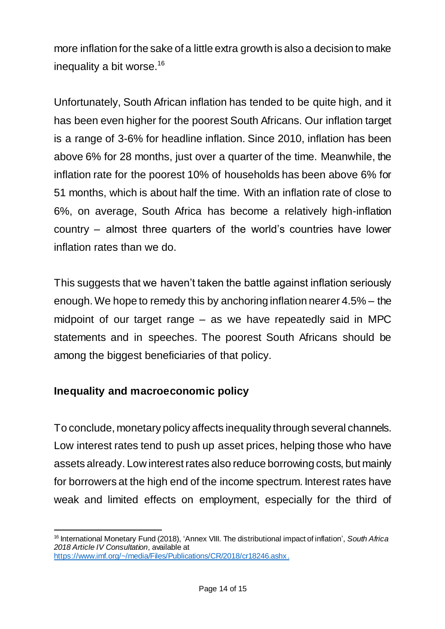more inflation for the sake of a little extra growth is also a decision to make inequality a bit worse.<sup>16</sup>

Unfortunately, South African inflation has tended to be quite high, and it has been even higher for the poorest South Africans. Our inflation target is a range of 3-6% for headline inflation. Since 2010, inflation has been above 6% for 28 months, just over a quarter of the time. Meanwhile, the inflation rate for the poorest 10% of households has been above 6% for 51 months, which is about half the time. With an inflation rate of close to 6%, on average, South Africa has become a relatively high-inflation country – almost three quarters of the world's countries have lower inflation rates than we do.

This suggests that we haven't taken the battle against inflation seriously enough. We hope to remedy this by anchoring inflation nearer 4.5% – the midpoint of our target range – as we have repeatedly said in MPC statements and in speeches. The poorest South Africans should be among the biggest beneficiaries of that policy.

#### **Inequality and macroeconomic policy**

To conclude, monetary policy affects inequality through several channels. Low interest rates tend to push up asset prices, helping those who have assets already. Low interest rates also reduce borrowing costs, but mainly for borrowers at the high end of the income spectrum. Interest rates have weak and limited effects on employment, especially for the third of

 $\overline{a}$ <sup>16</sup> International Monetary Fund (2018), 'Annex VIII. The distributional impact of inflation', *South Africa 2018 Article IV Consultation*, available at <https://www.imf.org/~/media/Files/Publications/CR/2018/cr18246.ashx>.